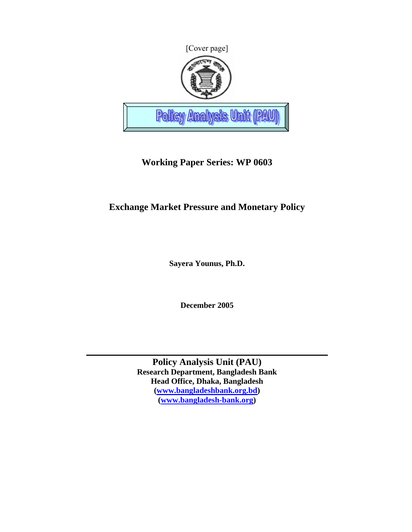

# **Working Paper Series: WP 0603**

# **Exchange Market Pressure and Monetary Policy**

**Sayera Younus, Ph.D.**

**December 2005** 

**Policy Analysis Unit (PAU) Research Department, Bangladesh Bank Head Office, Dhaka, Bangladesh (www.bangladeshbank.org.bd) (www.bangladesh-bank.org)**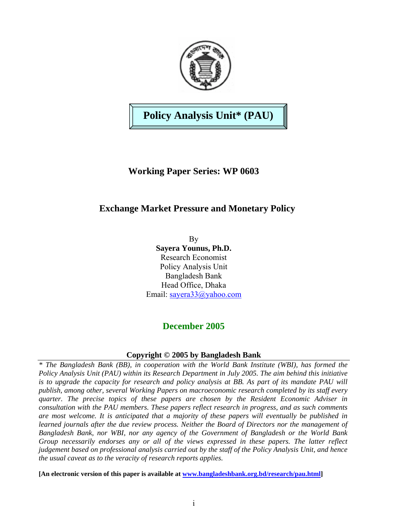

**Policy Analysis Unit\* (PAU)** 

**Working Paper Series: WP 0603** 

# **Exchange Market Pressure and Monetary Policy**

By **Sayera Younus, Ph.D.** Research Economist Policy Analysis Unit Bangladesh Bank Head Office, Dhaka Email: sayera33@yahoo.com

# **December 2005**

# **Copyright © 2005 by Bangladesh Bank**

*\* The Bangladesh Bank (BB), in cooperation with the World Bank Institute (WBI), has formed the Policy Analysis Unit (PAU) within its Research Department in July 2005. The aim behind this initiative*  is to upgrade the capacity for research and policy analysis at BB. As part of its mandate PAU will *publish, among other, several Working Papers on macroeconomic research completed by its staff every quarter. The precise topics of these papers are chosen by the Resident Economic Adviser in consultation with the PAU members. These papers reflect research in progress, and as such comments are most welcome. It is anticipated that a majority of these papers will eventually be published in learned journals after the due review process. Neither the Board of Directors nor the management of Bangladesh Bank, nor WBI, nor any agency of the Government of Bangladesh or the World Bank Group necessarily endorses any or all of the views expressed in these papers. The latter reflect judgement based on professional analysis carried out by the staff of the Policy Analysis Unit, and hence the usual caveat as to the veracity of research reports applies.*

**[An electronic version of this paper is available at www.bangladeshbank.org.bd/research/pau.html]**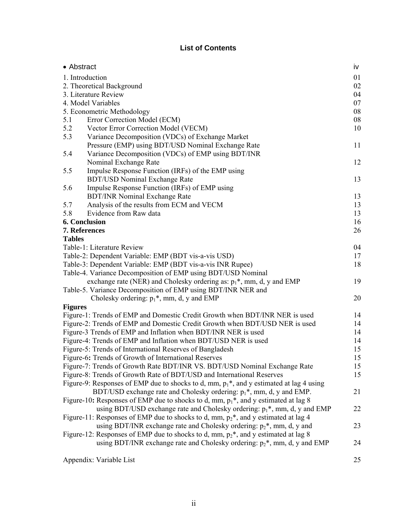## **List of Contents**

| • Abstract                                                                                          | iv |
|-----------------------------------------------------------------------------------------------------|----|
| 1. Introduction                                                                                     | 01 |
| 2. Theoretical Background                                                                           | 02 |
| 3. Literature Review                                                                                | 04 |
| 4. Model Variables                                                                                  | 07 |
| 5. Econometric Methodology                                                                          | 08 |
| 5.1<br>Error Correction Model (ECM)                                                                 | 08 |
| 5.2<br>Vector Error Correction Model (VECM)                                                         | 10 |
| 5.3<br>Variance Decomposition (VDCs) of Exchange Market                                             |    |
| Pressure (EMP) using BDT/USD Nominal Exchange Rate                                                  | 11 |
| Variance Decomposition (VDCs) of EMP using BDT/INR<br>5.4                                           |    |
| Nominal Exchange Rate                                                                               | 12 |
| 5.5<br>Impulse Response Function (IRFs) of the EMP using                                            |    |
| <b>BDT/USD Nominal Exchange Rate</b>                                                                | 13 |
| 5.6<br>Impulse Response Function (IRFs) of EMP using                                                |    |
| <b>BDT/INR Nominal Exchange Rate</b>                                                                | 13 |
| Analysis of the results from ECM and VECM<br>5.7                                                    | 13 |
| 5.8<br>Evidence from Raw data                                                                       | 13 |
| 6. Conclusion                                                                                       | 16 |
| 7. References                                                                                       | 26 |
| <b>Tables</b>                                                                                       |    |
| Table-1: Literature Review                                                                          | 04 |
| Table-2: Dependent Variable: EMP (BDT vis-a-vis USD)                                                | 17 |
| Table-3: Dependent Variable: EMP (BDT vis-a-vis INR Rupee)                                          | 18 |
| Table-4. Variance Decomposition of EMP using BDT/USD Nominal                                        |    |
| exchange rate (NER) and Cholesky ordering as: $p_1^*$ , mm, d, y and EMP                            | 19 |
| Table-5. Variance Decomposition of EMP using BDT/INR NER and                                        |    |
| Cholesky ordering: $p_1^*$ , mm, d, y and EMP                                                       | 20 |
| <b>Figures</b>                                                                                      |    |
| Figure-1: Trends of EMP and Domestic Credit Growth when BDT/INR NER is used                         | 14 |
| Figure-2: Trends of EMP and Domestic Credit Growth when BDT/USD NER is used                         | 14 |
| Figure-3 Trends of EMP and Inflation when BDT/INR NER is used                                       | 14 |
| Figure-4: Trends of EMP and Inflation when BDT/USD NER is used                                      | 14 |
| Figure-5: Trends of International Reserves of Bangladesh                                            | 15 |
| Figure-6: Trends of Growth of International Reserves                                                | 15 |
| Figure-7: Trends of Growth Rate BDT/INR VS. BDT/USD Nominal Exchange Rate                           | 15 |
| Figure-8: Trends of Growth Rate of BDT/USD and International Reserves                               | 15 |
| Figure-9: Responses of EMP due to shocks to d, mm, p <sub>1</sub> *, and y estimated at lag 4 using |    |
| BDT/USD exchange rate and Cholesky ordering: $p_1^*$ , mm, d, y and EMP.                            | 21 |
| Figure-10: Responses of EMP due to shocks to d, mm, $p_1^*$ , and y estimated at lag 8              |    |
| using BDT/USD exchange rate and Cholesky ordering: $p_1^*$ , mm, d, y and EMP                       | 22 |
| Figure-11: Responses of EMP due to shocks to d, mm, $p_2^*$ , and y estimated at lag 4              |    |
| using BDT/INR exchange rate and Cholesky ordering: $p_2^*$ , mm, d, y and                           | 23 |
| Figure-12: Responses of EMP due to shocks to d, mm, $p_2$ <sup>*</sup> , and y estimated at lag 8   |    |
| using BDT/INR exchange rate and Cholesky ordering: p <sub>2</sub> *, mm, d, y and EMP               | 24 |
|                                                                                                     |    |
| Appendix: Variable List                                                                             | 25 |
|                                                                                                     |    |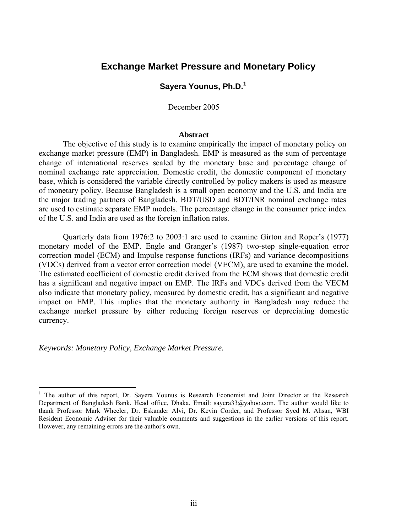# **Exchange Market Pressure and Monetary Policy**

### **Sayera Younus, Ph.D.1**

December 2005

#### **Abstract**

The objective of this study is to examine empirically the impact of monetary policy on exchange market pressure (EMP) in Bangladesh. EMP is measured as the sum of percentage change of international reserves scaled by the monetary base and percentage change of nominal exchange rate appreciation. Domestic credit, the domestic component of monetary base, which is considered the variable directly controlled by policy makers is used as measure of monetary policy. Because Bangladesh is a small open economy and the U.S. and India are the major trading partners of Bangladesh. BDT/USD and BDT/INR nominal exchange rates are used to estimate separate EMP models. The percentage change in the consumer price index of the U.S. and India are used as the foreign inflation rates.

 Quarterly data from 1976:2 to 2003:1 are used to examine Girton and Roper's (1977) monetary model of the EMP. Engle and Granger's (1987) two-step single-equation error correction model (ECM) and Impulse response functions (IRFs) and variance decompositions (VDCs) derived from a vector error correction model (VECM), are used to examine the model. The estimated coefficient of domestic credit derived from the ECM shows that domestic credit has a significant and negative impact on EMP. The IRFs and VDCs derived from the VECM also indicate that monetary policy, measured by domestic credit, has a significant and negative impact on EMP. This implies that the monetary authority in Bangladesh may reduce the exchange market pressure by either reducing foreign reserves or depreciating domestic currency.

*Keywords: Monetary Policy, Exchange Market Pressure.* 

 $\overline{a}$ 

<sup>&</sup>lt;sup>1</sup> The author of this report, Dr. Sayera Younus is Research Economist and Joint Director at the Research Department of Bangladesh Bank, Head office, Dhaka, Email: sayera33@yahoo.com. The author would like to thank Professor Mark Wheeler, Dr. Eskander Alvi, Dr. Kevin Corder, and Professor Syed M. Ahsan, WBI Resident Economic Adviser for their valuable comments and suggestions in the earlier versions of this report. However, any remaining errors are the author's own.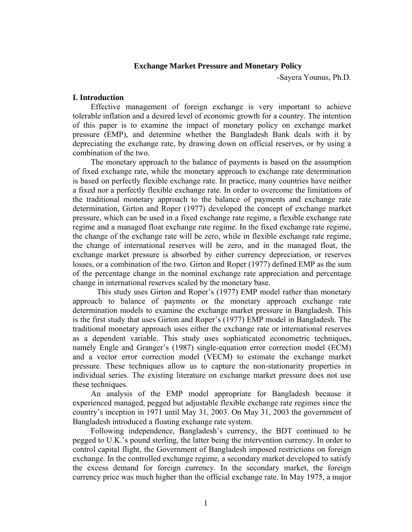#### **Exchange Market Pressure and Monetary Policy**

-Sayera Younus, Ph.D.

#### **I. Introduction**

Effective management of foreign exchange is very important to achieve tolerable inflation and a desired level of economic growth for a country. The intention of this paper is to examine the impact of monetary policy on exchange market pressure (EMP), and determine whether the Bangladesh Bank deals with it by depreciating the exchange rate, by drawing down on official reserves, or by using a combination of the two.

The monetary approach to the balance of payments is based on the assumption of fixed exchange rate, while the monetary approach to exchange rate determination is based on perfectly flexible exchange rate. In practice, many countries have neither a fixed nor a perfectly flexible exchange rate. In order to overcome the limitations of the traditional monetary approach to the balance of payments and exchange rate determination, Girton and Roper (1977) developed the concept of exchange market pressure, which can be used in a fixed exchange rate regime, a flexible exchange rate regime and a managed float exchange rate regime. In the fixed exchange rate regime, the change of the exchange rate will be zero, while in flexible exchange rate regime, the change of international reserves will be zero, and in the managed float, the exchange market pressure is absorbed by either currency depreciation, or reserves losses, or a combination of the two. Girton and Roper (1977) defined EMP as the sum of the percentage change in the nominal exchange rate appreciation and percentage change in international reserves scaled by the monetary base.

This study uses Girton and Roper's (1977) EMP model rather than monetary approach to balance of payments or the monetary approach exchange rate determination models to examine the exchange market pressure in Bangladesh. This is the first study that uses Girton and Roper's (1977) EMP model in Bangladesh. The traditional monetary approach uses either the exchange rate or international reserves as a dependent variable. This study uses sophisticated econometric techniques, namely Engle and Granger's (1987) single-equation error correction model (ECM) and a vector error correction model (VECM) to estimate the exchange market pressure. These techniques allow us to capture the non-stationarity properties in individual series. The existing literature on exchange market pressure does not use these techniques.

An analysis of the EMP model appropriate for Bangladesh because it experienced managed, pegged but adjustable flexible exchange rate regimes since the country's inception in 1971 until May 31, 2003. On May 31, 2003 the government of Bangladesh introduced a floating exchange rate system.

Following independence, Bangladesh's currency, the BDT continued to be pegged to U.K.'s pound sterling, the latter being the intervention currency. In order to control capital flight, the Government of Bangladesh imposed restrictions on foreign exchange. In the controlled exchange regime, a secondary market developed to satisfy the excess demand for foreign currency. In the secondary market, the foreign currency price was much higher than the official exchange rate. In May 1975, a major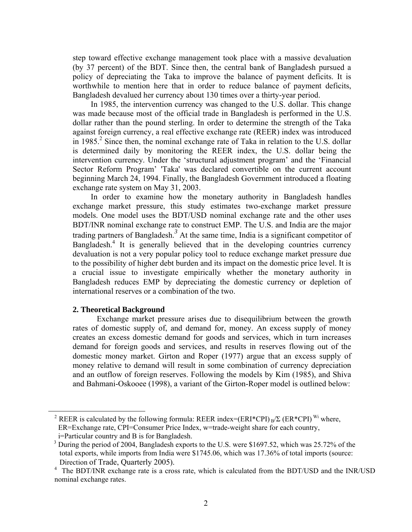step toward effective exchange management took place with a massive devaluation (by 37 percent) of the BDT. Since then, the central bank of Bangladesh pursued a policy of depreciating the Taka to improve the balance of payment deficits. It is worthwhile to mention here that in order to reduce balance of payment deficits, Bangladesh devalued her currency about 130 times over a thirty-year period.

In 1985, the intervention currency was changed to the U.S. dollar. This change was made because most of the official trade in Bangladesh is performed in the U.S. dollar rather than the pound sterling. In order to determine the strength of the Taka against foreign currency, a real effective exchange rate (REER) index was introduced in 1985.<sup>2</sup> Since then, the nominal exchange rate of Taka in relation to the U.S. dollar is determined daily by monitoring the REER index, the U.S. dollar being the intervention currency. Under the 'structural adjustment program' and the 'Financial Sector Reform Program' 'Taka' was declared convertible on the current account beginning March 24, 1994. Finally, the Bangladesh Government introduced a floating exchange rate system on May 31, 2003.

In order to examine how the monetary authority in Bangladesh handles exchange market pressure, this study estimates two-exchange market pressure models. One model uses the BDT/USD nominal exchange rate and the other uses BDT/INR nominal exchange rate to construct EMP. The U.S. and India are the major trading partners of Bangladesh.*<sup>3</sup>* At the same time, India is a significant competitor of Bangladesh.4 It is generally believed that in the developing countries currency devaluation is not a very popular policy tool to reduce exchange market pressure due to the possibility of higher debt burden and its impact on the domestic price level. It is a crucial issue to investigate empirically whether the monetary authority in Bangladesh reduces EMP by depreciating the domestic currency or depletion of international reserves or a combination of the two.

#### **2. Theoretical Background**

 Exchange market pressure arises due to disequilibrium between the growth rates of domestic supply of, and demand for, money. An excess supply of money creates an excess domestic demand for goods and services, which in turn increases demand for foreign goods and services, and results in reserves flowing out of the domestic money market. Girton and Roper (1977) argue that an excess supply of money relative to demand will result in some combination of currency depreciation and an outflow of foreign reserves. Following the models by Kim (1985), and Shiva and Bahmani-Oskooee (1998), a variant of the Girton-Roper model is outlined below:

<sup>&</sup>lt;sup>2</sup> REER is calculated by the following formula: REER index=(ERI\*CPI)  $B/Z$  (ER\*CPI)<sup>Wi</sup> where, ER=Exchange rate, CPI=Consumer Price Index, w=trade-weight share for each country, i=Particular country and B is for Bangladesh.

<sup>&</sup>lt;sup>3</sup> During the period of 2004, Bangladesh exports to the U.S. were \$1697.52, which was 25.72% of the total exports, while imports from India were \$1745.06, which was 17.36% of total imports (source: Direction of Trade, Quarterly 2005).

<sup>&</sup>lt;sup>4</sup> The BDT/INR exchange rate is a cross rate, which is calculated from the BDT/USD and the INR/USD nominal exchange rates.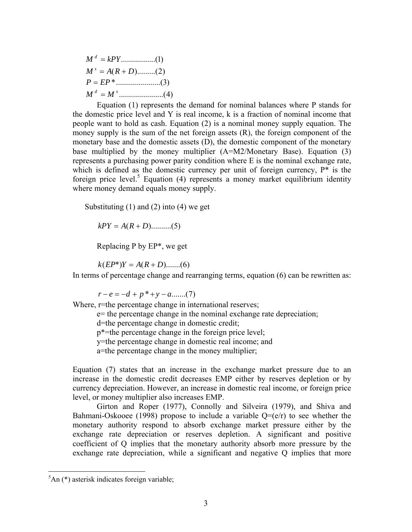*M kPY*.................(1) *<sup>d</sup>* =  $M^s = A(R+D)$ .........(2) *P* = *EP* \*......................(3)  $M^d = M^s$  (4)

Equation (1) represents the demand for nominal balances where P stands for the domestic price level and Y is real income, k is a fraction of nominal income that people want to hold as cash. Equation (2) is a nominal money supply equation. The money supply is the sum of the net foreign assets (R), the foreign component of the monetary base and the domestic assets (D), the domestic component of the monetary base multiplied by the money multiplier (A=M2/Monetary Base). Equation (3) represents a purchasing power parity condition where E is the nominal exchange rate, which is defined as the domestic currency per unit of foreign currency,  $P^*$  is the foreign price level.<sup>5</sup> Equation (4) represents a money market equilibrium identity where money demand equals money supply.

Substituting  $(1)$  and  $(2)$  into  $(4)$  we get

*kPY* = *A*(*R* + *D*)..........(5)

Replacing P by EP\*, we get

 $k(EP^*)Y = A(R+D)$ .......(6)

In terms of percentage change and rearranging terms, equation (6) can be rewritten as:

 $r - e = -d + p^* + y - a$ .......(7)

Where, r=the percentage change in international reserves;

e= the percentage change in the nominal exchange rate depreciation;

d=the percentage change in domestic credit;

p\*=the percentage change in the foreign price level;

y=the percentage change in domestic real income; and

a=the percentage change in the money multiplier;

Equation (7) states that an increase in the exchange market pressure due to an increase in the domestic credit decreases EMP either by reserves depletion or by currency depreciation. However, an increase in domestic real income, or foreign price level, or money multiplier also increases EMP.

Girton and Roper (1977), Connolly and Silveira (1979), and Shiva and Bahmani-Oskooee (1998) propose to include a variable  $Q=(e/r)$  to see whether the monetary authority respond to absorb exchange market pressure either by the exchange rate depreciation or reserves depletion. A significant and positive coefficient of Q implies that the monetary authority absorb more pressure by the exchange rate depreciation, while a significant and negative Q implies that more

<u>.</u>

 ${}^{5}$ An (\*) asterisk indicates foreign variable;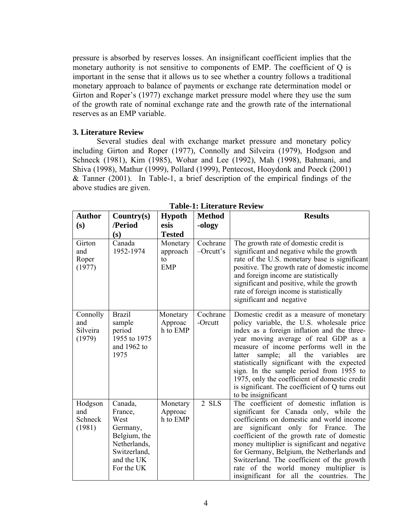pressure is absorbed by reserves losses. An insignificant coefficient implies that the monetary authority is not sensitive to components of EMP. The coefficient of Q is important in the sense that it allows us to see whether a country follows a traditional monetary approach to balance of payments or exchange rate determination model or Girton and Roper's (1977) exchange market pressure model where they use the sum of the growth rate of nominal exchange rate and the growth rate of the international reserves as an EMP variable.

## **3. Literature Review**

Several studies deal with exchange market pressure and monetary policy including Girton and Roper (1977), Connolly and Silveira (1979), Hodgson and Schneck (1981), Kim (1985), Wohar and Lee (1992), Mah (1998), Bahmani, and Shiva (1998), Mathur (1999), Pollard (1999), Pentecost, Hooydonk and Poeck (2001) & Tanner (2001). In Table-1, a brief description of the empirical findings of the above studies are given.

| <b>Author</b>                         | Country(s)                                                                                                         | <b>Hypoth</b>                            | <b>Method</b>          | <b>Results</b>                                                                                                                                                                                                                                                                                                                                                                                                                                                                           |
|---------------------------------------|--------------------------------------------------------------------------------------------------------------------|------------------------------------------|------------------------|------------------------------------------------------------------------------------------------------------------------------------------------------------------------------------------------------------------------------------------------------------------------------------------------------------------------------------------------------------------------------------------------------------------------------------------------------------------------------------------|
| (s)                                   | /Period                                                                                                            | esis                                     | -ology                 |                                                                                                                                                                                                                                                                                                                                                                                                                                                                                          |
|                                       | (s)                                                                                                                | <b>Tested</b>                            |                        |                                                                                                                                                                                                                                                                                                                                                                                                                                                                                          |
| Girton<br>and<br>Roper<br>(1977)      | Canada<br>1952-1974                                                                                                | Monetary<br>approach<br>to<br><b>EMP</b> | Cochrane<br>$-Orcut's$ | The growth rate of domestic credit is<br>significant and negative while the growth<br>rate of the U.S. monetary base is significant<br>positive. The growth rate of domestic income<br>and foreign income are statistically<br>significant and positive, while the growth<br>rate of foreign income is statistically<br>significant and negative                                                                                                                                         |
| Connolly<br>and<br>Silveira<br>(1979) | <b>Brazil</b><br>sample<br>period<br>1955 to 1975<br>and 1962 to<br>1975                                           | Monetary<br>Approac<br>h to EMP          | Cochrane<br>-Orcutt    | Domestic credit as a measure of monetary<br>policy variable, the U.S. wholesale price<br>index as a foreign inflation and the three-<br>year moving average of real GDP as a<br>measure of income performs well in the<br>sample; all the variables<br>latter<br>are<br>statistically significant with the expected<br>sign. In the sample period from 1955 to<br>1975, only the coefficient of domestic credit<br>is significant. The coefficient of Q turns out<br>to be insignificant |
| Hodgson<br>and<br>Schneck<br>(1981)   | Canada,<br>France,<br>West<br>Germany,<br>Belgium, the<br>Netherlands,<br>Switzerland,<br>and the UK<br>For the UK | Monetary<br>Approac<br>h to EMP          | 2 SLS                  | The coefficient of domestic inflation is<br>significant for Canada only, while the<br>coefficients on domestic and world income<br>significant only for France.<br>The<br>are<br>coefficient of the growth rate of domestic<br>money multiplier is significant and negative<br>for Germany, Belgium, the Netherlands and<br>Switzerland. The coefficient of the growth<br>rate of the world money multiplier is<br>insignificant for all the countries. The                              |

 **Table-1: Literature Review**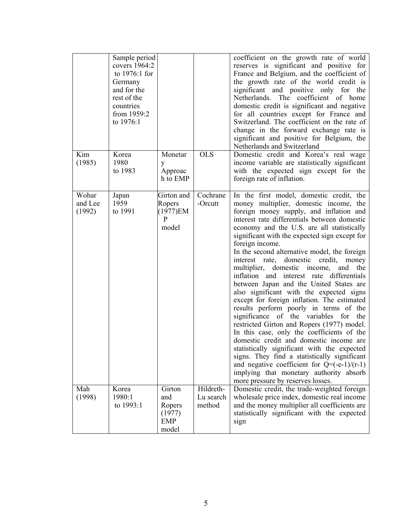|                            | Sample period<br>covers 1964:2<br>to $1976:1$ for<br>Germany<br>and for the<br>rest of the<br>countries<br>from 1959:2<br>to 1976:1 |                                                   |                                  | coefficient on the growth rate of world<br>reserves is significant and positive for<br>France and Belgium, and the coefficient of<br>the growth rate of the world credit is<br>significant and positive only for the<br>Netherlands. The coefficient of home<br>domestic credit is significant and negative<br>for all countries except for France and<br>Switzerland. The coefficient on the rate of<br>change in the forward exchange rate is<br>significant and positive for Belgium, the<br>Netherlands and Switzerland                                                                                                                                                                                                                                                                                                                                                                                                                                                                                                                                                      |
|----------------------------|-------------------------------------------------------------------------------------------------------------------------------------|---------------------------------------------------|----------------------------------|----------------------------------------------------------------------------------------------------------------------------------------------------------------------------------------------------------------------------------------------------------------------------------------------------------------------------------------------------------------------------------------------------------------------------------------------------------------------------------------------------------------------------------------------------------------------------------------------------------------------------------------------------------------------------------------------------------------------------------------------------------------------------------------------------------------------------------------------------------------------------------------------------------------------------------------------------------------------------------------------------------------------------------------------------------------------------------|
| Kim<br>(1985)              | Korea<br>1980<br>to 1983                                                                                                            | Monetar<br>y<br>Approac<br>h to EMP               | <b>OLS</b>                       | Domestic credit and Korea's real wage<br>income variable are statistically significant<br>with the expected sign except for the<br>foreign rate of inflation.                                                                                                                                                                                                                                                                                                                                                                                                                                                                                                                                                                                                                                                                                                                                                                                                                                                                                                                    |
| Wohar<br>and Lee<br>(1992) | Japan<br>1959<br>to 1991                                                                                                            | Girton and<br>Ropers<br>(1977)EM<br>P<br>model    | Cochrane<br>-Orcutt              | In the first model, domestic credit, the<br>money multiplier, domestic income, the<br>foreign money supply, and inflation and<br>interest rate differentials between domestic<br>economy and the U.S. are all statistically<br>significant with the expected sign except for<br>foreign income.<br>In the second alternative model, the foreign<br>interest rate, domestic credit,<br>money<br>multiplier, domestic income, and the<br>inflation and interest rate differentials<br>between Japan and the United States are<br>also significant with the expected signs<br>except for foreign inflation. The estimated<br>results perform poorly in terms of the<br>significance of the variables for the<br>restricted Girton and Ropers (1977) model.<br>In this case, only the coefficients of the<br>domestic credit and domestic income are<br>statistically significant with the expected<br>signs. They find a statistically significant<br>and negative coefficient for $Q=(-e-1)/(r-1)$<br>implying that monetary authority absorb<br>more pressure by reserves losses. |
| Mah<br>(1998)              | Korea<br>1980:1<br>to 1993:1                                                                                                        | Girton<br>and<br>Ropers<br>(1977)<br>EMP<br>model | Hildreth-<br>Lu search<br>method | Domestic credit, the trade-weighted foreign<br>wholesale price index, domestic real income<br>and the money multiplier all coefficients are<br>statistically significant with the expected<br>sign                                                                                                                                                                                                                                                                                                                                                                                                                                                                                                                                                                                                                                                                                                                                                                                                                                                                               |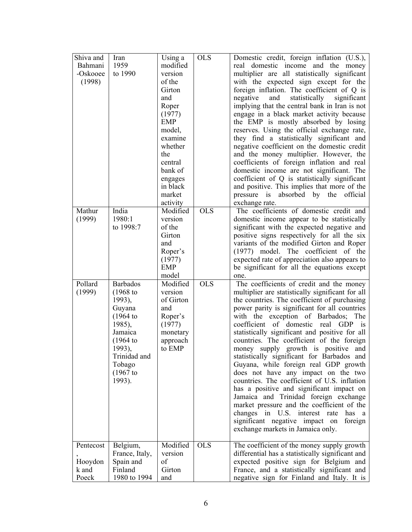| Shiva and | Iran            | Using a              | <b>OLS</b> | Domestic credit, foreign inflation (U.S.),       |
|-----------|-----------------|----------------------|------------|--------------------------------------------------|
| Bahmani   | 1959            | modified             |            | real domestic income and the money               |
| -Oskooee  | to 1990         | version              |            | multiplier are all statistically significant     |
| (1998)    |                 | of the               |            |                                                  |
|           |                 | Girton               |            | with the expected sign except for the            |
|           |                 |                      |            | foreign inflation. The coefficient of $Q$ is     |
|           |                 | and                  |            | negative<br>and<br>statistically<br>significant  |
|           |                 | Roper                |            | implying that the central bank in Iran is not    |
|           |                 | (1977)               |            | engage in a black market activity because        |
|           |                 | EMP                  |            | the EMP is mostly absorbed by losing             |
|           |                 | model,               |            | reserves. Using the official exchange rate,      |
|           |                 | examine              |            | they find a statistically significant and        |
|           |                 | whether              |            | negative coefficient on the domestic credit      |
|           |                 | the                  |            | and the money multiplier. However, the           |
|           |                 | central              |            | coefficients of foreign inflation and real       |
|           |                 | bank of              |            | domestic income are not significant. The         |
|           |                 | engages              |            | coefficient of Q is statistically significant    |
|           |                 | in black             |            | and positive. This implies that more of the      |
|           |                 | market               |            | absorbed by the official<br>pressure is          |
|           |                 | activity             |            | exchange rate.                                   |
| Mathur    | India           | Modified             | <b>OLS</b> | The coefficients of domestic credit and          |
| (1999)    | 1980:1          | version              |            | domestic income appear to be statistically       |
|           | to 1998:7       | of the               |            | significant with the expected negative and       |
|           |                 | Girton               |            | positive signs respectively for all the six      |
|           |                 | and                  |            | variants of the modified Girton and Roper        |
|           |                 | Roper's              |            | (1977) model. The coefficient of the             |
|           |                 |                      |            | expected rate of appreciation also appears to    |
|           |                 | (1977)<br><b>EMP</b> |            |                                                  |
|           |                 |                      |            | be significant for all the equations except      |
|           |                 | model                |            | one.                                             |
| Pollard   | <b>Barbados</b> | Modified             | <b>OLS</b> | The coefficients of credit and the money         |
| (1999)    | $(1968)$ to     | version              |            | multiplier are statistically significant for all |
|           | 1993),          | of Girton            |            | the countries. The coefficient of purchasing     |
|           | Guyana          | and                  |            | power parity is significant for all countries    |
|           | (1964)          | Roper's              |            | with the exception of Barbados; The              |
|           | 1985),          | (1977)               |            | coefficient of domestic real GDP is              |
|           | Jamaica         | monetary             |            | statistically significant and positive for all   |
|           | $(1964)$ to     | approach             |            | countries. The coefficient of the foreign        |
|           | 1993),          | to EMP               |            | money supply growth is positive and              |
|           | Trinidad and    |                      |            | statistically significant for Barbados and       |
|           | Tobago          |                      |            | Guyana, while foreign real GDP growth            |
|           | $(1967)$ to     |                      |            | does not have any impact on the two              |
|           | 1993).          |                      |            | countries. The coefficient of U.S. inflation     |
|           |                 |                      |            | has a positive and significant impact on         |
|           |                 |                      |            | Jamaica and Trinidad foreign exchange            |
|           |                 |                      |            | market pressure and the coefficient of the       |
|           |                 |                      |            | changes in U.S. interest rate<br>has a           |
|           |                 |                      |            | significant negative impact on<br>foreign        |
|           |                 |                      |            | exchange markets in Jamaica only.                |
|           |                 |                      |            |                                                  |
| Pentecost |                 | Modified             | <b>OLS</b> |                                                  |
|           | Belgium,        |                      |            | The coefficient of the money supply growth       |
|           | France, Italy,  | version              |            | differential has a statistically significant and |
| Hooydon   | Spain and       | of                   |            | expected positive sign for Belgium and           |
| k and     | Finland         | Girton               |            | France, and a statistically significant and      |
| Poeck     | 1980 to 1994    | and                  |            | negative sign for Finland and Italy. It is       |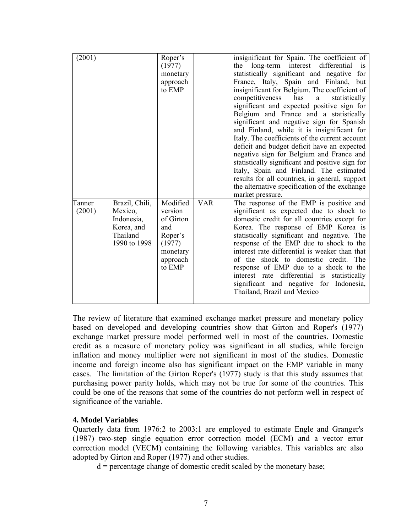| (2001) |                       | Roper's<br>(1977)    |            | insignificant for Spain. The coefficient of<br>long-term<br>interest differential<br>the<br><b>1S</b> |
|--------|-----------------------|----------------------|------------|-------------------------------------------------------------------------------------------------------|
|        |                       | monetary             |            | statistically significant and negative for                                                            |
|        |                       | approach             |            | France, Italy, Spain and Finland, but                                                                 |
|        |                       | to EMP               |            | insignificant for Belgium. The coefficient of                                                         |
|        |                       |                      |            | competitiveness<br>has<br>a<br>statistically                                                          |
|        |                       |                      |            | significant and expected positive sign for                                                            |
|        |                       |                      |            | Belgium and France and a statistically                                                                |
|        |                       |                      |            | significant and negative sign for Spanish                                                             |
|        |                       |                      |            | and Finland, while it is insignificant for                                                            |
|        |                       |                      |            | Italy. The coefficients of the current account<br>deficit and budget deficit have an expected         |
|        |                       |                      |            | negative sign for Belgium and France and                                                              |
|        |                       |                      |            | statistically significant and positive sign for                                                       |
|        |                       |                      |            | Italy, Spain and Finland. The estimated                                                               |
|        |                       |                      |            | results for all countries, in general, support                                                        |
|        |                       |                      |            | the alternative specification of the exchange                                                         |
|        |                       |                      |            | market pressure.                                                                                      |
| Tanner | Brazil, Chili,        | Modified             | <b>VAR</b> | The response of the EMP is positive and                                                               |
| (2001) | Mexico,<br>Indonesia, | version<br>of Girton |            | significant as expected due to shock to                                                               |
|        | Korea, and            | and                  |            | domestic credit for all countries except for<br>Korea. The response of EMP Korea is                   |
|        | Thailand              | Roper's              |            | statistically significant and negative. The                                                           |
|        | 1990 to 1998          | (1977)               |            | response of the EMP due to shock to the                                                               |
|        |                       | monetary             |            | interest rate differential is weaker than that                                                        |
|        |                       | approach             |            | of the shock to domestic credit. The                                                                  |
|        |                       | to EMP               |            | response of EMP due to a shock to the                                                                 |
|        |                       |                      |            | interest rate differential is statistically                                                           |
|        |                       |                      |            | significant and negative for Indonesia,                                                               |
|        |                       |                      |            | Thailand, Brazil and Mexico                                                                           |
|        |                       |                      |            |                                                                                                       |

The review of literature that examined exchange market pressure and monetary policy based on developed and developing countries show that Girton and Roper's (1977) exchange market pressure model performed well in most of the countries. Domestic credit as a measure of monetary policy was significant in all studies, while foreign inflation and money multiplier were not significant in most of the studies. Domestic income and foreign income also has significant impact on the EMP variable in many cases. The limitation of the Girton Roper's (1977) study is that this study assumes that purchasing power parity holds, which may not be true for some of the countries. This could be one of the reasons that some of the countries do not perform well in respect of significance of the variable.

## **4. Model Variables**

Quarterly data from 1976:2 to 2003:1 are employed to estimate Engle and Granger's (1987) two-step single equation error correction model (ECM) and a vector error correction model (VECM) containing the following variables. This variables are also adopted by Girton and Roper (1977) and other studies.

 $d =$  percentage change of domestic credit scaled by the monetary base;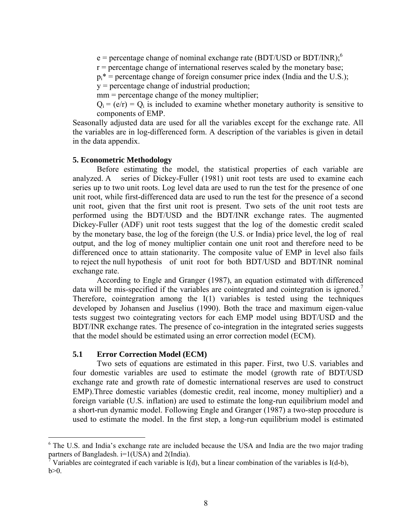$e =$  percentage change of nominal exchange rate (BDT/USD or BDT/INR);<sup>6</sup>

 $r =$  percentage change of international reserves scaled by the monetary base;

 $p_i^*$  = percentage change of foreign consumer price index (India and the U.S.);

 $y =$  percentage change of industrial production;

 $mm = percentage change of the money multiplier;$ 

 $Q_i = (e/r) = Q_i$  is included to examine whether monetary authority is sensitive to components of EMP.

Seasonally adjusted data are used for all the variables except for the exchange rate. All the variables are in log-differenced form. A description of the variables is given in detail in the data appendix.

#### **5. Econometric Methodology**

 Before estimating the model, the statistical properties of each variable are analyzed. A series of Dickey-Fuller (1981) unit root tests are used to examine each series up to two unit roots. Log level data are used to run the test for the presence of one unit root, while first-differenced data are used to run the test for the presence of a second unit root, given that the first unit root is present. Two sets of the unit root tests are performed using the BDT/USD and the BDT/INR exchange rates. The augmented Dickey-Fuller (ADF) unit root tests suggest that the log of the domestic credit scaled by the monetary base, the log of the foreign (the U.S. or India) price level, the log of real output, and the log of money multiplier contain one unit root and therefore need to be differenced once to attain stationarity. The composite value of EMP in level also fails to reject the null hypothesis of unit root for both BDT/USD and BDT/INR nominal exchange rate.

 According to Engle and Granger (1987), an equation estimated with differenced data will be mis-specified if the variables are cointegrated and cointegration is ignored.<sup>7</sup> Therefore, cointegration among the I(1) variables is tested using the techniques developed by Johansen and Juselius (1990). Both the trace and maximum eigen-value tests suggest two cointegrating vectors for each EMP model using BDT/USD and the BDT/INR exchange rates. The presence of co-integration in the integrated series suggests that the model should be estimated using an error correction model (ECM).

### **5.1 Error Correction Model (ECM)**

<u>.</u>

Two sets of equations are estimated in this paper. First, two U.S. variables and four domestic variables are used to estimate the model (growth rate of BDT/USD exchange rate and growth rate of domestic international reserves are used to construct EMP).Three domestic variables (domestic credit, real income, money multiplier) and a foreign variable (U.S. inflation) are used to estimate the long-run equilibrium model and a short-run dynamic model. Following Engle and Granger (1987) a two-step procedure is used to estimate the model. In the first step, a long-run equilibrium model is estimated

<sup>6</sup> The U.S. and India's exchange rate are included because the USA and India are the two major trading partners of Bangladesh. i=1(USA) and 2(India).

<sup>7</sup> Variables are cointegrated if each variable is I(d), but a linear combination of the variables is I(d-b),  $b>0$ .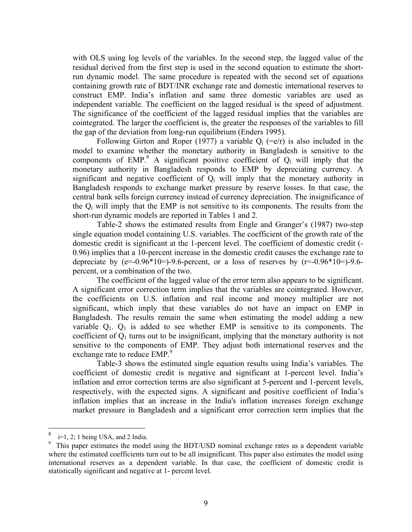with OLS using log levels of the variables. In the second step, the lagged value of the residual derived from the first step is used in the second equation to estimate the shortrun dynamic model. The same procedure is repeated with the second set of equations containing growth rate of BDT/INR exchange rate and domestic international reserves to construct EMP. India's inflation and same three domestic variables are used as independent variable. The coefficient on the lagged residual is the speed of adjustment. The significance of the coefficient of the lagged residual implies that the variables are cointegrated. The larger the coefficient is, the greater the responses of the variables to fill the gap of the deviation from long-run equilibrium (Enders 1995).

Following Girton and Roper (1977) a variable  $Q_i$  (=e/r) is also included in the model to examine whether the monetary authority in Bangladesh is sensitive to the components of  $EMP$ <sup>8</sup>. A significant positive coefficient of  $Q_i$  will imply that the monetary authority in Bangladesh responds to EMP by depreciating currency. A significant and negative coefficient of  $Q_i$  will imply that the monetary authority in Bangladesh responds to exchange market pressure by reserve losses. In that case, the central bank sells foreign currency instead of currency depreciation. The insignificance of the  $Q_i$  will imply that the EMP is not sensitive to its components. The results from the short-run dynamic models are reported in Tables 1 and 2.

Table-2 shows the estimated results from Engle and Granger's (1987) two-step single equation model containing U.S. variables. The coefficient of the growth rate of the domestic credit is significant at the 1-percent level. The coefficient of domestic credit (- 0.96) implies that a 10-percent increase in the domestic credit causes the exchange rate to depreciate by  $(e=-0.96*10=)-9.6$ -percent, or a loss of reserves by  $(r=-0.96*10=)-9.6$ percent, or a combination of the two.

The coefficient of the lagged value of the error term also appears to be significant. A significant error correction term implies that the variables are cointegrated. However, the coefficients on U.S. inflation and real income and money multiplier are not significant, which imply that these variables do not have an impact on EMP in Bangladesh. The results remain the same when estimating the model adding a new variable  $Q_1$ .  $Q_1$  is added to see whether EMP is sensitive to its components. The coefficient of  $Q_1$  turns out to be insignificant, implying that the monetary authority is not sensitive to the components of EMP. They adjust both international reserves and the exchange rate to reduce EMP.<sup>9</sup>

Table-3 shows the estimated single equation results using India's variables. The coefficient of domestic credit is negative and significant at 1-percent level. India's inflation and error correction terms are also significant at 5-percent and 1-percent levels, respectively, with the expected signs. A significant and positive coefficient of India's inflation implies that an increase in the India's inflation increases foreign exchange market pressure in Bangladesh and a significant error correction term implies that the

1

<sup>8</sup> i=1, 2; 1 being USA, and 2 India.

<sup>9</sup> This paper estimates the model using the BDT/USD nominal exchange rates as a dependent variable where the estimated coefficients turn out to be all insignificant. This paper also estimates the model using international reserves as a dependent variable. In that case, the coefficient of domestic credit is statistically significant and negative at 1- percent level.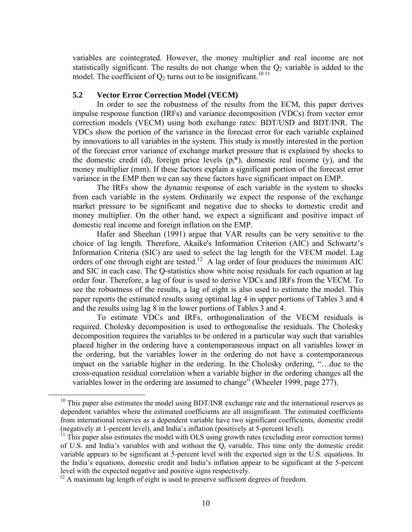variables are cointegrated. However, the money multiplier and real income are not statistically significant. The results do not change when the  $O<sub>2</sub>$  variable is added to the model. The coefficient of  $Q_2$  turns out to be insignificant.<sup>10 11</sup>

### **5.2 Vector Error Correction Model (VECM)**

In order to see the robustness of the results from the ECM, this paper derives impulse response function (IRFs) and variance decomposition (VDCs) from vector error correction models (VECM) using both exchange rates: BDT/USD and BDT/INR. The VDCs show the portion of the variance in the forecast error for each variable explained by innovations to all variables in the system. This study is mostly interested in the portion of the forecast error variance of exchange market pressure that is explained by shocks to the domestic credit (d), foreign price levels  $(p_1^*)$ , domestic real income (y), and the money multiplier (mm). If these factors explain a significant portion of the forecast error variance in the EMP then we can say these factors have significant impact on EMP.

The IRFs show the dynamic response of each variable in the system to shocks from each variable in the system. Ordinarily we expect the response of the exchange market pressure to be significant and negative due to shocks to domestic credit and money multiplier. On the other hand, we expect a significant and positive impact of domestic real income and foreign inflation on the EMP.

Hafer and Sheehan (1991) argue that VAR results can be very sensitive to the choice of lag length. Therefore, Akaike's Information Criterion (AIC) and Schwartz's Information Criteria (SIC) are used to select the lag length for the VECM model. Lag orders of one through eight are tested.<sup>12</sup> A lag order of four produces the minimum AIC and SIC in each case. The Q-statistics show white noise residuals for each equation at lag order four. Therefore, a lag of four is used to derive VDCs and IRFs from the VECM. To see the robustness of the results, a lag of eight is also used to estimate the model. This paper reports the estimated results using optimal lag 4 in upper portions of Tables 3 and 4 and the results using lag 8 in the lower portions of Tables 3 and 4.

To estimate VDCs and IRFs, orthogonalization of the VECM residuals is required. Cholesky decomposition is used to orthogonalise the residuals. The Cholesky decomposition requires the variables to be ordered in a particular way such that variables placed higher in the ordering have a contemporaneous impact on all variables lower in the ordering, but the variables lower in the ordering do not have a contemporaneous impact on the variable higher in the ordering. In the Cholesky ordering, "…due to the cross-equation residual correlation when a variable higher in the ordering changes all the variables lower in the ordering are assumed to change" (Wheeler 1999, page 277).

<sup>&</sup>lt;sup>10</sup> This paper also estimates the model using BDT/INR exchange rate and the international reserves as dependent variables where the estimated coefficients are all insignificant. The estimated coefficients from international reserves as a dependent variable have two significant coefficients, domestic credit (negatively at 1-percent level), and India's inflation (positively at 5-percent level).

<sup>&</sup>lt;sup>11</sup> This paper also estimates the model with OLS using growth rates (excluding error correction terms) of U.S. and India's variables with and without the  $Q_i$  variable. This time only the domestic credit variable appears to be significant at 5-percent level with the expected sign in the U.S. equations. In the India's equations, domestic credit and India's inflation appear to be significant at the 5-percent level with the expected negative and positive signs respectively.

<sup>&</sup>lt;sup>12</sup> A maximum lag length of eight is used to preserve sufficient degrees of freedom.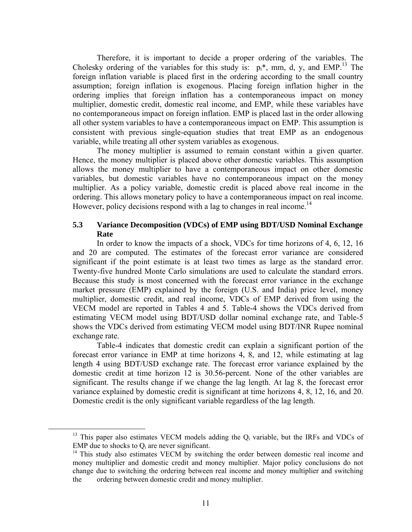Therefore, it is important to decide a proper ordering of the variables. The Cholesky ordering of the variables for this study is:  $p_i^*$ , mm, d, y, and EMP.<sup>13</sup> The foreign inflation variable is placed first in the ordering according to the small country assumption; foreign inflation is exogenous. Placing foreign inflation higher in the ordering implies that foreign inflation has a contemporaneous impact on money multiplier, domestic credit, domestic real income, and EMP, while these variables have no contemporaneous impact on foreign inflation. EMP is placed last in the order allowing all other system variables to have a contemporaneous impact on EMP. This assumption is consistent with previous single-equation studies that treat EMP as an endogenous variable, while treating all other system variables as exogenous.

The money multiplier is assumed to remain constant within a given quarter. Hence, the money multiplier is placed above other domestic variables. This assumption allows the money multiplier to have a contemporaneous impact on other domestic variables, but domestic variables have no contemporaneous impact on the money multiplier. As a policy variable, domestic credit is placed above real income in the ordering. This allows monetary policy to have a contemporaneous impact on real income. However, policy decisions respond with a lag to changes in real income.<sup>14</sup>

## **5.3 Variance Decomposition (VDCs) of EMP using BDT/USD Nominal Exchange Rate**

In order to know the impacts of a shock, VDCs for time horizons of 4, 6, 12, 16 and 20 are computed. The estimates of the forecast error variance are considered significant if the point estimate is at least two times as large as the standard error. Twenty-five hundred Monte Carlo simulations are used to calculate the standard errors. Because this study is most concerned with the forecast error variance in the exchange market pressure (EMP) explained by the foreign (U.S. and India) price level, money multiplier, domestic credit, and real income, VDCs of EMP derived from using the VECM model are reported in Tables 4 and 5. Table-4 shows the VDCs derived from estimating VECM model using BDT/USD dollar nominal exchange rate, and Table-5 shows the VDCs derived from estimating VECM model using BDT/INR Rupee nominal exchange rate.

Table-4 indicates that domestic credit can explain a significant portion of the forecast error variance in EMP at time horizons 4, 8, and 12, while estimating at lag length 4 using BDT/USD exchange rate. The forecast error variance explained by the domestic credit at time horizon 12 is 30.56-percent. None of the other variables are significant. The results change if we change the lag length. At lag 8, the forecast error variance explained by domestic credit is significant at time horizons 4, 8, 12, 16, and 20. Domestic credit is the only significant variable regardless of the lag length.

<sup>&</sup>lt;sup>13</sup> This paper also estimates VECM models adding the  $Q_i$  variable, but the IRFs and VDCs of EMP due to shocks to  $Q_i$  are never significant.

 $14$  This study also estimates VECM by switching the order between domestic real income and money multiplier and domestic credit and money multiplier. Major policy conclusions do not change due to switching the ordering between real income and money multiplier and switching the ordering between domestic credit and money multiplier.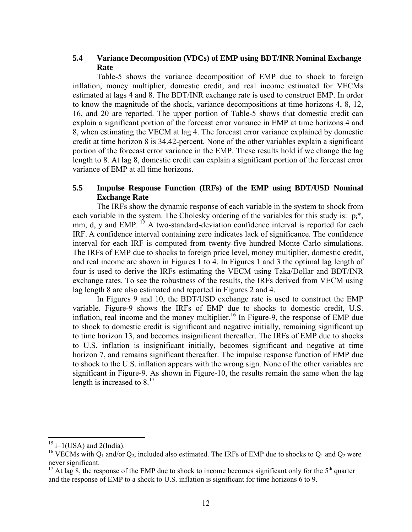## **5.4 Variance Decomposition (VDCs) of EMP using BDT/INR Nominal Exchange Rate**

Table-5 shows the variance decomposition of EMP due to shock to foreign inflation, money multiplier, domestic credit, and real income estimated for VECMs estimated at lags 4 and 8. The BDT/INR exchange rate is used to construct EMP. In order to know the magnitude of the shock, variance decompositions at time horizons 4, 8, 12, 16, and 20 are reported. The upper portion of Table-5 shows that domestic credit can explain a significant portion of the forecast error variance in EMP at time horizons 4 and 8, when estimating the VECM at lag 4. The forecast error variance explained by domestic credit at time horizon 8 is 34.42-percent. None of the other variables explain a significant portion of the forecast error variance in the EMP. These results hold if we change the lag length to 8. At lag 8, domestic credit can explain a significant portion of the forecast error variance of EMP at all time horizons.

## **5.5 Impulse Response Function (IRFs) of the EMP using BDT/USD Nominal Exchange Rate**

 The IRFs show the dynamic response of each variable in the system to shock from each variable in the system. The Cholesky ordering of the variables for this study is:  $p_i^*$ , mm, d, y and EMP. <sup>15</sup> A two-standard-deviation confidence interval is reported for each IRF. A confidence interval containing zero indicates lack of significance. The confidence interval for each IRF is computed from twenty-five hundred Monte Carlo simulations. The IRFs of EMP due to shocks to foreign price level, money multiplier, domestic credit, and real income are shown in Figures 1 to 4. In Figures 1 and 3 the optimal lag length of four is used to derive the IRFs estimating the VECM using Taka/Dollar and BDT/INR exchange rates. To see the robustness of the results, the IRFs derived from VECM using lag length 8 are also estimated and reported in Figures 2 and 4.

In Figures 9 and 10, the BDT/USD exchange rate is used to construct the EMP variable. Figure-9 shows the IRFs of EMP due to shocks to domestic credit, U.S. inflation, real income and the money multiplier.<sup>16</sup> In Figure-9, the response of EMP due to shock to domestic credit is significant and negative initially, remaining significant up to time horizon 13, and becomes insignificant thereafter. The IRFs of EMP due to shocks to U.S. inflation is insignificant initially, becomes significant and negative at time horizon 7, and remains significant thereafter. The impulse response function of EMP due to shock to the U.S. inflation appears with the wrong sign. None of the other variables are significant in Figure-9. As shown in Figure-10, the results remain the same when the lag length is increased to  $8.<sup>17</sup>$ 

<u>.</u>

 $15$  i=1(USA) and 2(India).

<sup>&</sup>lt;sup>16</sup> VECMs with  $Q_1$  and/or  $Q_2$ , included also estimated. The IRFs of EMP due to shocks to  $Q_1$  and  $Q_2$  were never significant.

<sup>&</sup>lt;sup>17</sup> At lag 8, the response of the EMP due to shock to income becomes significant only for the  $5<sup>th</sup>$  quarter and the response of EMP to a shock to U.S. inflation is significant for time horizons 6 to 9.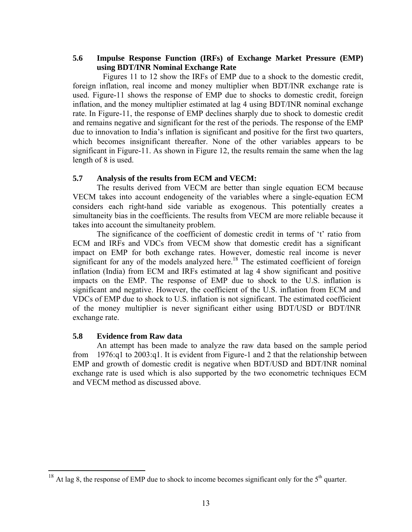## **5.6 Impulse Response Function (IRFs) of Exchange Market Pressure (EMP) using BDT/INR Nominal Exchange Rate**

Figures 11 to 12 show the IRFs of EMP due to a shock to the domestic credit, foreign inflation, real income and money multiplier when BDT/INR exchange rate is used. Figure-11 shows the response of EMP due to shocks to domestic credit, foreign inflation, and the money multiplier estimated at lag 4 using BDT/INR nominal exchange rate. In Figure-11, the response of EMP declines sharply due to shock to domestic credit and remains negative and significant for the rest of the periods. The response of the EMP due to innovation to India's inflation is significant and positive for the first two quarters, which becomes insignificant thereafter. None of the other variables appears to be significant in Figure-11. As shown in Figure 12, the results remain the same when the lag length of 8 is used.

## **5.7 Analysis of the results from ECM and VECM:**

The results derived from VECM are better than single equation ECM because VECM takes into account endogeneity of the variables where a single-equation ECM considers each right-hand side variable as exogenous. This potentially creates a simultaneity bias in the coefficients. The results from VECM are more reliable because it takes into account the simultaneity problem.

The significance of the coefficient of domestic credit in terms of 't' ratio from ECM and IRFs and VDCs from VECM show that domestic credit has a significant impact on EMP for both exchange rates. However, domestic real income is never significant for any of the models analyzed here.<sup>18</sup> The estimated coefficient of foreign inflation (India) from ECM and IRFs estimated at lag 4 show significant and positive impacts on the EMP. The response of EMP due to shock to the U.S. inflation is significant and negative. However, the coefficient of the U.S. inflation from ECM and VDCs of EMP due to shock to U.S. inflation is not significant. The estimated coefficient of the money multiplier is never significant either using BDT/USD or BDT/INR exchange rate.

# **5.8 Evidence from Raw data**

<u>.</u>

 An attempt has been made to analyze the raw data based on the sample period from 1976:q1 to 2003:q1. It is evident from Figure-1 and 2 that the relationship between EMP and growth of domestic credit is negative when BDT/USD and BDT/INR nominal exchange rate is used which is also supported by the two econometric techniques ECM and VECM method as discussed above.

<sup>&</sup>lt;sup>18</sup> At lag 8, the response of EMP due to shock to income becomes significant only for the  $5<sup>th</sup>$  quarter.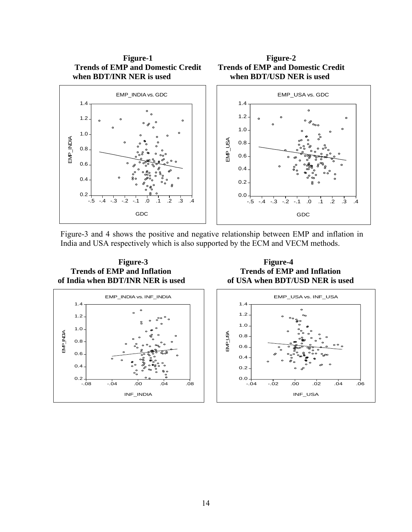

Figure-3 and 4 shows the positive and negative relationship between EMP and inflation in India and USA respectively which is also supported by the ECM and VECM methods.





INF\_INDIA

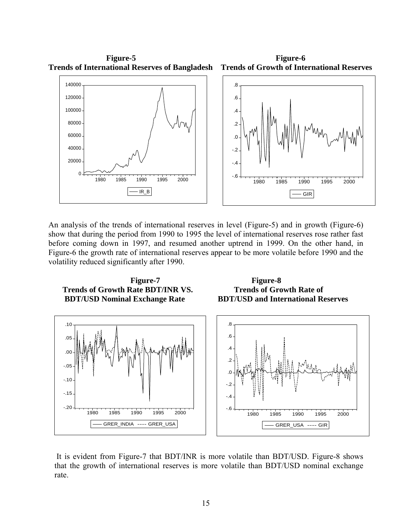**Figure-5 Figure-6 Trends of International Reserves of Bangladesh Trends of Growth of International Reserves** 





An analysis of the trends of international reserves in level (Figure-5) and in growth (Figure-6) show that during the period from 1990 to 1995 the level of international reserves rose rather fast before coming down in 1997, and resumed another uptrend in 1999. On the other hand, in Figure-6 the growth rate of international reserves appear to be more volatile before 1990 and the volatility reduced significantly after 1990.





 It is evident from Figure-7 that BDT/INR is more volatile than BDT/USD. Figure-8 shows that the growth of international reserves is more volatile than BDT/USD nominal exchange rate.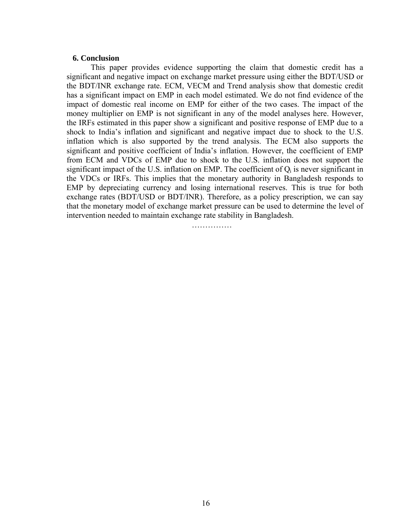#### **6. Conclusion**

This paper provides evidence supporting the claim that domestic credit has a significant and negative impact on exchange market pressure using either the BDT/USD or the BDT/INR exchange rate. ECM, VECM and Trend analysis show that domestic credit has a significant impact on EMP in each model estimated. We do not find evidence of the impact of domestic real income on EMP for either of the two cases. The impact of the money multiplier on EMP is not significant in any of the model analyses here. However, the IRFs estimated in this paper show a significant and positive response of EMP due to a shock to India's inflation and significant and negative impact due to shock to the U.S. inflation which is also supported by the trend analysis. The ECM also supports the significant and positive coefficient of India's inflation. However, the coefficient of EMP from ECM and VDCs of EMP due to shock to the U.S. inflation does not support the significant impact of the U.S. inflation on EMP. The coefficient of  $Q_i$  is never significant in the VDCs or IRFs. This implies that the monetary authority in Bangladesh responds to EMP by depreciating currency and losing international reserves. This is true for both exchange rates (BDT/USD or BDT/INR). Therefore, as a policy prescription, we can say that the monetary model of exchange market pressure can be used to determine the level of intervention needed to maintain exchange rate stability in Bangladesh.

………………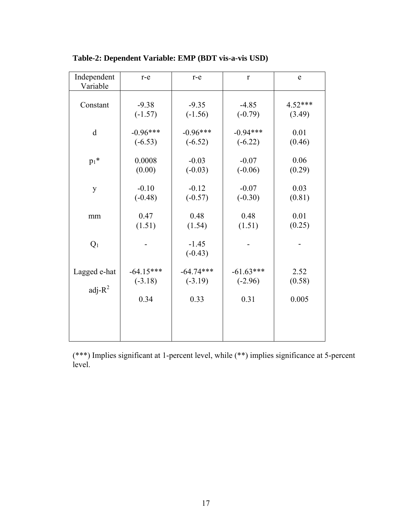| $r-e$       | $r-e$                | $\mathbf{r}$ | $\mathbf e$ |
|-------------|----------------------|--------------|-------------|
| $-9.38$     | $-9.35$              | $-4.85$      | $4.52***$   |
| $(-1.57)$   | $(-1.56)$            | $(-0.79)$    | (3.49)      |
| $-0.96***$  | $-0.96***$           | $-0.94***$   | 0.01        |
| $(-6.53)$   | $(-6.52)$            | $(-6.22)$    | (0.46)      |
| 0.0008      | $-0.03$              | $-0.07$      | 0.06        |
| (0.00)      | $(-0.03)$            | $(-0.06)$    | (0.29)      |
| $-0.10$     | $-0.12$              | $-0.07$      | 0.03        |
| $(-0.48)$   | $(-0.57)$            | $(-0.30)$    | (0.81)      |
| 0.47        | 0.48                 | 0.48         | 0.01        |
| (1.51)      | (1.54)               | (1.51)       | (0.25)      |
|             | $-1.45$<br>$(-0.43)$ |              |             |
| $-64.15***$ | $-64.74***$          | $-61.63***$  | 2.52        |
| $(-3.18)$   | $(-3.19)$            | $(-2.96)$    | (0.58)      |
| 0.34        | 0.33                 | 0.31         | 0.005       |
|             |                      |              |             |

**Table-2: Dependent Variable: EMP (BDT vis-a-vis USD)** 

(\*\*\*) Implies significant at 1-percent level, while (\*\*) implies significance at 5-percent level.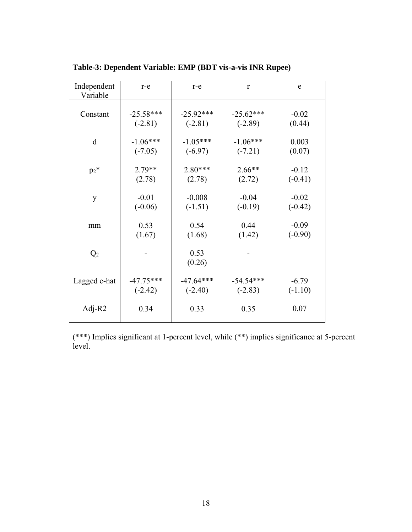| Independent<br>Variable | $r-e$       | $r-e$          | $\mathbf{r}$ | e         |
|-------------------------|-------------|----------------|--------------|-----------|
| Constant                | $-25.58***$ | $-25.92***$    | $-25.62***$  | $-0.02$   |
|                         | $(-2.81)$   | $(-2.81)$      | $(-2.89)$    | (0.44)    |
| d                       | $-1.06***$  | $-1.05***$     | $-1.06***$   | 0.003     |
|                         | $(-7.05)$   | $(-6.97)$      | $(-7.21)$    | (0.07)    |
| $p_2$ <sup>*</sup>      | $2.79**$    | $2.80***$      | $2.66**$     | $-0.12$   |
|                         | (2.78)      | (2.78)         | (2.72)       | $(-0.41)$ |
| y                       | $-0.01$     | $-0.008$       | $-0.04$      | $-0.02$   |
|                         | $(-0.06)$   | $(-1.51)$      | $(-0.19)$    | $(-0.42)$ |
| mm                      | 0.53        | 0.54           | 0.44         | $-0.09$   |
|                         | (1.67)      | (1.68)         | (1.42)       | $(-0.90)$ |
| Q <sub>2</sub>          |             | 0.53<br>(0.26) |              |           |
| Lagged e-hat            | $-47.75***$ | $-47.64***$    | $-54.54***$  | $-6.79$   |
|                         | $(-2.42)$   | $(-2.40)$      | $(-2.83)$    | $(-1.10)$ |
| Adj-R2                  | 0.34        | 0.33           | 0.35         | 0.07      |

**Table-3: Dependent Variable: EMP (BDT vis-a-vis INR Rupee)** 

 (\*\*\*) Implies significant at 1-percent level, while (\*\*) implies significance at 5-percent level.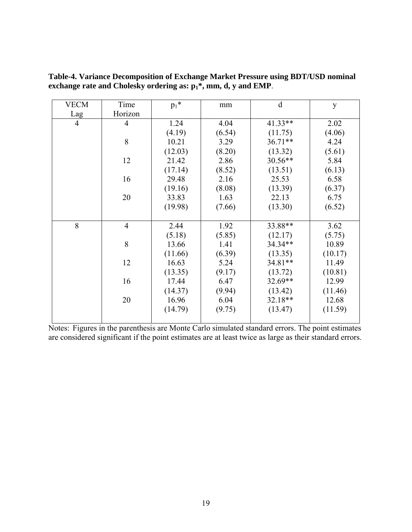| <b>VECM</b>    | Time           | $p_1$ * | mm     | $\mathbf d$ | y       |
|----------------|----------------|---------|--------|-------------|---------|
| Lag            | Horizon        |         |        |             |         |
| $\overline{4}$ | $\overline{4}$ | 1.24    | 4.04   | $41.33**$   | 2.02    |
|                |                | (4.19)  | (6.54) | (11.75)     | (4.06)  |
|                | 8              | 10.21   | 3.29   | 36.71**     | 4.24    |
|                |                | (12.03) | (8.20) | (13.32)     | (5.61)  |
|                | 12             | 21.42   | 2.86   | 30.56**     | 5.84    |
|                |                | (17.14) | (8.52) | (13.51)     | (6.13)  |
|                | 16             | 29.48   | 2.16   | 25.53       | 6.58    |
|                |                | (19.16) | (8.08) | (13.39)     | (6.37)  |
|                | 20             | 33.83   | 1.63   | 22.13       | 6.75    |
|                |                | (19.98) | (7.66) | (13.30)     | (6.52)  |
|                |                |         |        |             |         |
| 8              | $\overline{4}$ | 2.44    | 1.92   | 33.88**     | 3.62    |
|                |                | (5.18)  | (5.85) | (12.17)     | (5.75)  |
|                | 8              | 13.66   | 1.41   | 34.34**     | 10.89   |
|                |                | (11.66) | (6.39) | (13.35)     | (10.17) |
|                | 12             | 16.63   | 5.24   | 34.81**     | 11.49   |
|                |                | (13.35) | (9.17) | (13.72)     | (10.81) |
|                | 16             | 17.44   | 6.47   | 32.69**     | 12.99   |
|                |                | (14.37) | (9.94) | (13.42)     | (11.46) |
|                | 20             | 16.96   | 6.04   | 32.18**     | 12.68   |
|                |                | (14.79) | (9.75) | (13.47)     | (11.59) |
|                |                |         |        |             |         |

**Table-4. Variance Decomposition of Exchange Market Pressure using BDT/USD nominal**  exchange rate and Cholesky ordering as:  $p_1^*$ , mm, d, y and EMP.

Notes: Figures in the parenthesis are Monte Carlo simulated standard errors. The point estimates are considered significant if the point estimates are at least twice as large as their standard errors.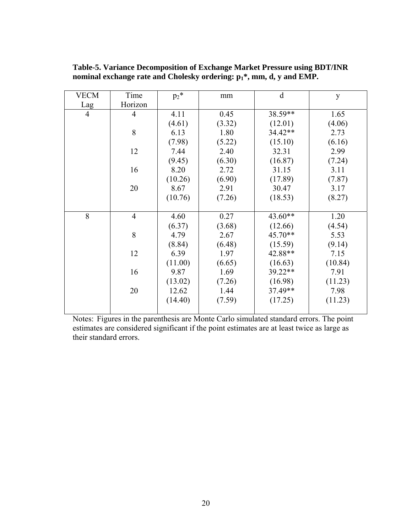| VECM           | Time           | $p_2$ * | mm     | d       | y       |
|----------------|----------------|---------|--------|---------|---------|
| Lag            | Horizon        |         |        |         |         |
| $\overline{4}$ | $\overline{4}$ | 4.11    | 0.45   | 38.59** | 1.65    |
|                |                | (4.61)  | (3.32) | (12.01) | (4.06)  |
|                | 8              | 6.13    | 1.80   | 34.42** | 2.73    |
|                |                | (7.98)  | (5.22) | (15.10) | (6.16)  |
|                | 12             | 7.44    | 2.40   | 32.31   | 2.99    |
|                |                | (9.45)  | (6.30) | (16.87) | (7.24)  |
|                | 16             | 8.20    | 2.72   | 31.15   | 3.11    |
|                |                | (10.26) | (6.90) | (17.89) | (7.87)  |
|                | 20             | 8.67    | 2.91   | 30.47   | 3.17    |
|                |                | (10.76) | (7.26) | (18.53) | (8.27)  |
|                |                |         |        |         |         |
| 8              | $\overline{4}$ | 4.60    | 0.27   | 43.60** | 1.20    |
|                |                | (6.37)  | (3.68) | (12.66) | (4.54)  |
|                | 8              | 4.79    | 2.67   | 45.70** | 5.53    |
|                |                | (8.84)  | (6.48) | (15.59) | (9.14)  |
|                | 12             | 6.39    | 1.97   | 42.88** | 7.15    |
|                |                | (11.00) | (6.65) | (16.63) | (10.84) |
|                | 16             | 9.87    | 1.69   | 39.22** | 7.91    |
|                |                | (13.02) | (7.26) | (16.98) | (11.23) |
|                | 20             | 12.62   | 1.44   | 37.49** | 7.98    |
|                |                | (14.40) | (7.59) | (17.25) | (11.23) |
|                |                |         |        |         |         |

**Table-5. Variance Decomposition of Exchange Market Pressure using BDT/INR**  nominal exchange rate and Cholesky ordering:  $p_1^*$ , mm, d, y and EMP.

Notes: Figures in the parenthesis are Monte Carlo simulated standard errors. The point estimates are considered significant if the point estimates are at least twice as large as their standard errors.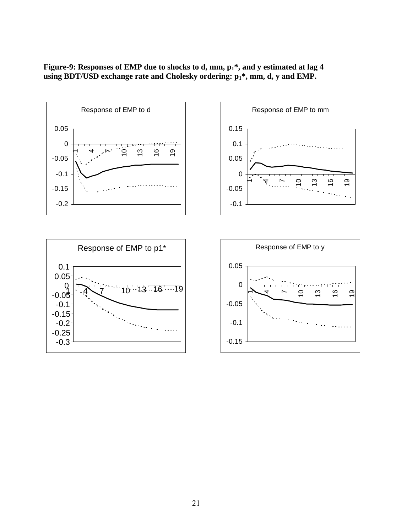Figure-9: Responses of EMP due to shocks to d, mm,  $p_1$ <sup>\*</sup>, and y estimated at lag 4 using BDT/USD exchange rate and Cholesky ordering:  $p_1^*$ , mm, d, y and EMP.

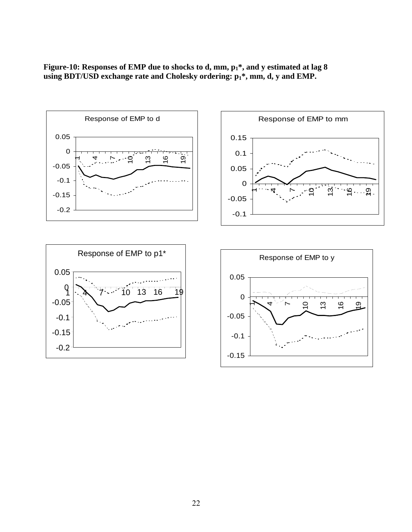Figure-10: Responses of EMP due to shocks to d, mm,  $p_1$ <sup>\*</sup>, and y estimated at lag 8 using BDT/USD exchange rate and Cholesky ordering:  $p_1^*$ , mm, d, y and EMP.

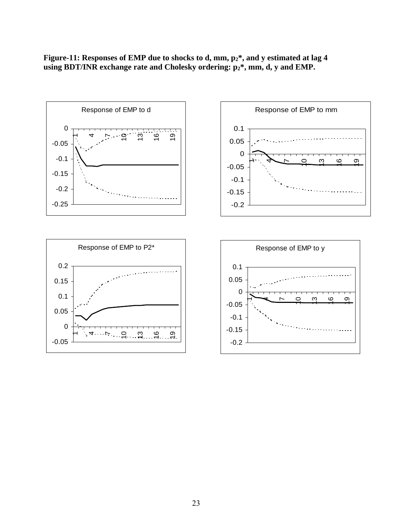Figure-11: Responses of EMP due to shocks to d, mm,  $p_2$ <sup>\*</sup>, and y estimated at lag 4 using BDT/INR exchange rate and Cholesky ordering:  $p_2$ <sup>\*</sup>, mm, d, y and EMP.

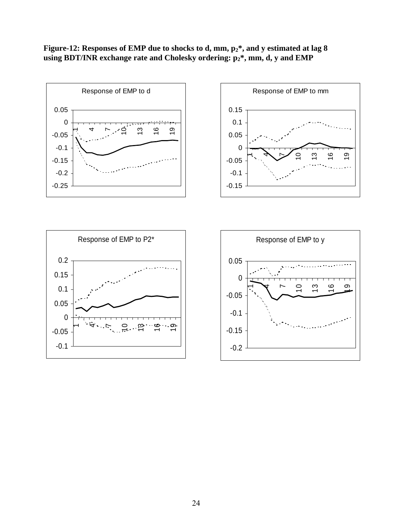Figure-12: Responses of EMP due to shocks to d, mm,  $p_2^*$ , and y estimated at lag 8 **using BDT/INR exchange rate and Cholesky ordering: p2\*, mm, d, y and EMP**

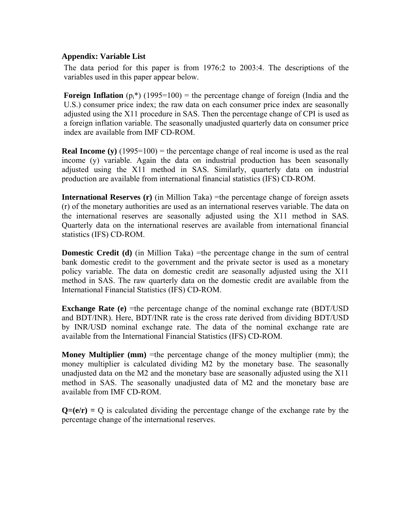## **Appendix: Variable List**

 The data period for this paper is from 1976:2 to 2003:4. The descriptions of the variables used in this paper appear below.

**Foreign Inflation**  $(p_1^*)$  (1995=100) = the percentage change of foreign (India and the U.S.) consumer price index; the raw data on each consumer price index are seasonally adjusted using the X11 procedure in SAS. Then the percentage change of CPI is used as a foreign inflation variable. The seasonally unadjusted quarterly data on consumer price index are available from IMF CD-ROM.

**Real Income (y)**  $(1995=100)$  = the percentage change of real income is used as the real income (y) variable. Again the data on industrial production has been seasonally adjusted using the X11 method in SAS. Similarly, quarterly data on industrial production are available from international financial statistics (IFS) CD-ROM.

**International Reserves (r)** (in Million Taka) =the percentage change of foreign assets (r) of the monetary authorities are used as an international reserves variable. The data on the international reserves are seasonally adjusted using the X11 method in SAS. Quarterly data on the international reserves are available from international financial statistics (IFS) CD-ROM.

**Domestic Credit (d)** (in Million Taka) =the percentage change in the sum of central bank domestic credit to the government and the private sector is used as a monetary policy variable. The data on domestic credit are seasonally adjusted using the X11 method in SAS. The raw quarterly data on the domestic credit are available from the International Financial Statistics (IFS) CD-ROM.

**Exchange Rate (e)** =the percentage change of the nominal exchange rate (BDT/USD) and BDT/INR). Here, BDT/INR rate is the cross rate derived from dividing BDT/USD by INR/USD nominal exchange rate. The data of the nominal exchange rate are available from the International Financial Statistics (IFS) CD-ROM.

**Money Multiplier (mm)** =the percentage change of the money multiplier (mm); the money multiplier is calculated dividing M2 by the monetary base. The seasonally unadjusted data on the M2 and the monetary base are seasonally adjusted using the X11 method in SAS. The seasonally unadjusted data of M2 and the monetary base are available from IMF CD-ROM.

 $Q=(e/r) = Q$  is calculated dividing the percentage change of the exchange rate by the percentage change of the international reserves.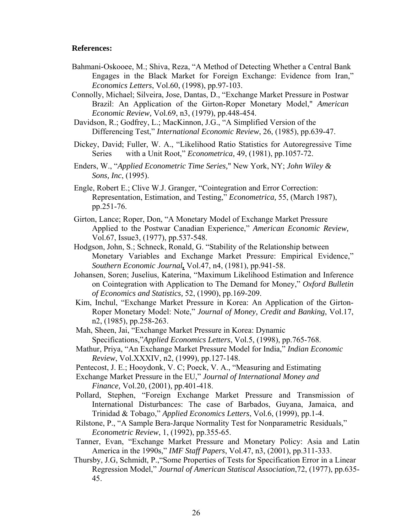#### **References:**

- Bahmani-Oskooee, M.; Shiva, Reza, "A Method of Detecting Whether a Central Bank Engages in the Black Market for Foreign Exchange: Evidence from Iran," *Economics Letters*, Vol.60, (1998), pp.97-103.
- Connolly, Michael; Silveira, Jose, Dantas, D., "Exchange Market Pressure in Postwar Brazil: An Application of the Girton-Roper Monetary Model," *American Economic Review,* Vol.69, n3, (1979), pp.448-454.
- Davidson, R.; Godfrey, L.; MacKinnon, J.G., "A Simplified Version of the Differencing Test," *International Economic Review*, 26, (1985), pp.639-47.
- Dickey, David; Fuller, W. A., "Likelihood Ratio Statistics for Autoregressive Time Series with a Unit Root," *Econometrica,* 49, (1981), pp.1057-72.
- Enders, W., "*Applied Econometric Time Series,*" New York, NY; *John Wiley & Sons, Inc*, (1995).
- Engle, Robert E.; Clive W.J. Granger, "Cointegration and Error Correction: Representation, Estimation, and Testing," *Econometrica,* 55, (March 1987), pp.251-76.
- Girton, Lance; Roper, Don, "A Monetary Model of Exchange Market Pressure Applied to the Postwar Canadian Experience," *American Economic Review,* Vol.67, Issue3, (1977), pp.537-548.
- Hodgson, John, S.; Schneck, Ronald, G. "Stability of the Relationship between Monetary Variables and Exchange Market Pressure: Empirical Evidence," *Southern Economic Journal,* Vol.47, n4, (1981), pp.941-58.
- Johansen, Soren; Juselius, Katerina, "Maximum Likelihood Estimation and Inference on Cointegration with Application to The Demand for Money," *Oxford Bulletin of Economics and Statistics,* 52, (1990), pp.169-209.
- Kim, Inchul, "Exchange Market Pressure in Korea: An Application of the Girton- Roper Monetary Model: Note," *Journal of Money, Credit and Banking*, Vol.17, n2, (1985), pp.258-263.
- Mah, Sheen, Jai, "Exchange Market Pressure in Korea: Dynamic Specifications,"*Applied Economics Letters*, Vol.5, (1998), pp.765-768.
- Mathur, Priya, "An Exchange Market Pressure Model for India," *Indian Economic Review*, Vol.XXXIV, n2, (1999), pp.127-148.
- Pentecost, J. E.; Hooydonk, V. C; Poeck, V. A., "Measuring and Estimating
- Exchange Market Pressure in the EU," *Journal of International Money and Finance,* Vol.20, (2001), pp.401-418.
- Pollard, Stephen, "Foreign Exchange Market Pressure and Transmission of International Disturbances: The case of Barbados, Guyana, Jamaica, and Trinidad & Tobago," *Applied Economics Letters*, Vol.6, (1999), pp.1-4.
- Rilstone, P., "A Sample Bera-Jarque Normality Test for Nonparametric Residuals," *Econometric Review*, 1, (1992), pp.355-65.
- Tanner, Evan, "Exchange Market Pressure and Monetary Policy: Asia and Latin America in the 1990s," *IMF Staff Papers*, Vol.47, n3, (2001), pp.311-333.
- Thursby, J.G, Schmidt, P.,"Some Properties of Tests for Specification Error in a Linear Regression Model," *Journal of American Statiscal Association*,72, (1977), pp.635- 45.